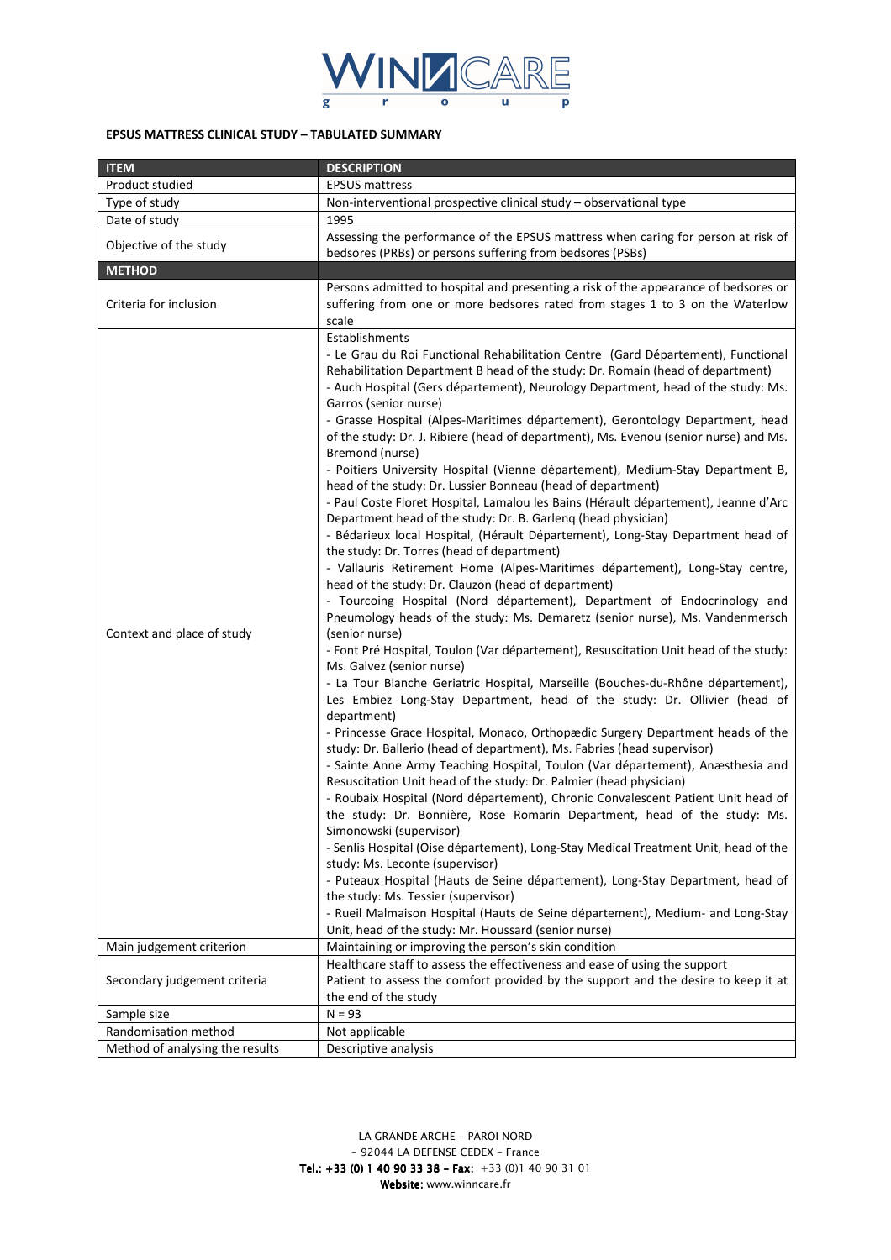

## **EPSUS MATTRESS CLINICAL STUDY – TABULATED SUMMARY**

| <b>ITEM</b>                     | <b>DESCRIPTION</b>                                                                                                                                                                                                                                                                                                                                                                                                                                                                                                                                                                                                                                                                                                                                                                                                                                                                                                                                                                                                                                                                                                                                                                                                                                                                                                                                                                                                                                                                                                                                                                                                                                                                                                                                                                                                                                                                                                                                                                                                                                                                                                                                                                                                                                                                                                                                                                                                    |  |  |  |
|---------------------------------|-----------------------------------------------------------------------------------------------------------------------------------------------------------------------------------------------------------------------------------------------------------------------------------------------------------------------------------------------------------------------------------------------------------------------------------------------------------------------------------------------------------------------------------------------------------------------------------------------------------------------------------------------------------------------------------------------------------------------------------------------------------------------------------------------------------------------------------------------------------------------------------------------------------------------------------------------------------------------------------------------------------------------------------------------------------------------------------------------------------------------------------------------------------------------------------------------------------------------------------------------------------------------------------------------------------------------------------------------------------------------------------------------------------------------------------------------------------------------------------------------------------------------------------------------------------------------------------------------------------------------------------------------------------------------------------------------------------------------------------------------------------------------------------------------------------------------------------------------------------------------------------------------------------------------------------------------------------------------------------------------------------------------------------------------------------------------------------------------------------------------------------------------------------------------------------------------------------------------------------------------------------------------------------------------------------------------------------------------------------------------------------------------------------------------|--|--|--|
| Product studied                 | <b>EPSUS mattress</b>                                                                                                                                                                                                                                                                                                                                                                                                                                                                                                                                                                                                                                                                                                                                                                                                                                                                                                                                                                                                                                                                                                                                                                                                                                                                                                                                                                                                                                                                                                                                                                                                                                                                                                                                                                                                                                                                                                                                                                                                                                                                                                                                                                                                                                                                                                                                                                                                 |  |  |  |
| Type of study                   | Non-interventional prospective clinical study - observational type                                                                                                                                                                                                                                                                                                                                                                                                                                                                                                                                                                                                                                                                                                                                                                                                                                                                                                                                                                                                                                                                                                                                                                                                                                                                                                                                                                                                                                                                                                                                                                                                                                                                                                                                                                                                                                                                                                                                                                                                                                                                                                                                                                                                                                                                                                                                                    |  |  |  |
| Date of study                   | 1995                                                                                                                                                                                                                                                                                                                                                                                                                                                                                                                                                                                                                                                                                                                                                                                                                                                                                                                                                                                                                                                                                                                                                                                                                                                                                                                                                                                                                                                                                                                                                                                                                                                                                                                                                                                                                                                                                                                                                                                                                                                                                                                                                                                                                                                                                                                                                                                                                  |  |  |  |
| Objective of the study          | Assessing the performance of the EPSUS mattress when caring for person at risk of<br>bedsores (PRBs) or persons suffering from bedsores (PSBs)                                                                                                                                                                                                                                                                                                                                                                                                                                                                                                                                                                                                                                                                                                                                                                                                                                                                                                                                                                                                                                                                                                                                                                                                                                                                                                                                                                                                                                                                                                                                                                                                                                                                                                                                                                                                                                                                                                                                                                                                                                                                                                                                                                                                                                                                        |  |  |  |
| <b>METHOD</b>                   |                                                                                                                                                                                                                                                                                                                                                                                                                                                                                                                                                                                                                                                                                                                                                                                                                                                                                                                                                                                                                                                                                                                                                                                                                                                                                                                                                                                                                                                                                                                                                                                                                                                                                                                                                                                                                                                                                                                                                                                                                                                                                                                                                                                                                                                                                                                                                                                                                       |  |  |  |
| Criteria for inclusion          | Persons admitted to hospital and presenting a risk of the appearance of bedsores or<br>suffering from one or more bedsores rated from stages 1 to 3 on the Waterlow<br>scale                                                                                                                                                                                                                                                                                                                                                                                                                                                                                                                                                                                                                                                                                                                                                                                                                                                                                                                                                                                                                                                                                                                                                                                                                                                                                                                                                                                                                                                                                                                                                                                                                                                                                                                                                                                                                                                                                                                                                                                                                                                                                                                                                                                                                                          |  |  |  |
| Context and place of study      | Establishments<br>- Le Grau du Roi Functional Rehabilitation Centre (Gard Département), Functional<br>Rehabilitation Department B head of the study: Dr. Romain (head of department)<br>- Auch Hospital (Gers département), Neurology Department, head of the study: Ms.<br>Garros (senior nurse)<br>- Grasse Hospital (Alpes-Maritimes département), Gerontology Department, head<br>of the study: Dr. J. Ribiere (head of department), Ms. Evenou (senior nurse) and Ms.<br>Bremond (nurse)<br>- Poitiers University Hospital (Vienne département), Medium-Stay Department B,<br>head of the study: Dr. Lussier Bonneau (head of department)<br>- Paul Coste Floret Hospital, Lamalou les Bains (Hérault département), Jeanne d'Arc<br>Department head of the study: Dr. B. Garleng (head physician)<br>- Bédarieux local Hospital, (Hérault Département), Long-Stay Department head of<br>the study: Dr. Torres (head of department)<br>- Vallauris Retirement Home (Alpes-Maritimes département), Long-Stay centre,<br>head of the study: Dr. Clauzon (head of department)<br>- Tourcoing Hospital (Nord département), Department of Endocrinology and<br>Pneumology heads of the study: Ms. Demaretz (senior nurse), Ms. Vandenmersch<br>(senior nurse)<br>- Font Pré Hospital, Toulon (Var département), Resuscitation Unit head of the study:<br>Ms. Galvez (senior nurse)<br>- La Tour Blanche Geriatric Hospital, Marseille (Bouches-du-Rhône département),<br>Les Embiez Long-Stay Department, head of the study: Dr. Ollivier (head of<br>department)<br>- Princesse Grace Hospital, Monaco, Orthopædic Surgery Department heads of the<br>study: Dr. Ballerio (head of department), Ms. Fabries (head supervisor)<br>- Sainte Anne Army Teaching Hospital, Toulon (Var département), Anæsthesia and<br>Resuscitation Unit head of the study: Dr. Palmier (head physician)<br>- Roubaix Hospital (Nord département), Chronic Convalescent Patient Unit head of<br>the study: Dr. Bonnière, Rose Romarin Department, head of the study: Ms.<br>Simonowski (supervisor)<br>- Senlis Hospital (Oise département), Long-Stay Medical Treatment Unit, head of the<br>study: Ms. Leconte (supervisor)<br>- Puteaux Hospital (Hauts de Seine département), Long-Stay Department, head of<br>the study: Ms. Tessier (supervisor)<br>- Rueil Malmaison Hospital (Hauts de Seine département), Medium- and Long-Stay |  |  |  |
|                                 | Unit, head of the study: Mr. Houssard (senior nurse)                                                                                                                                                                                                                                                                                                                                                                                                                                                                                                                                                                                                                                                                                                                                                                                                                                                                                                                                                                                                                                                                                                                                                                                                                                                                                                                                                                                                                                                                                                                                                                                                                                                                                                                                                                                                                                                                                                                                                                                                                                                                                                                                                                                                                                                                                                                                                                  |  |  |  |
| Main judgement criterion        | Maintaining or improving the person's skin condition                                                                                                                                                                                                                                                                                                                                                                                                                                                                                                                                                                                                                                                                                                                                                                                                                                                                                                                                                                                                                                                                                                                                                                                                                                                                                                                                                                                                                                                                                                                                                                                                                                                                                                                                                                                                                                                                                                                                                                                                                                                                                                                                                                                                                                                                                                                                                                  |  |  |  |
| Secondary judgement criteria    | Healthcare staff to assess the effectiveness and ease of using the support<br>Patient to assess the comfort provided by the support and the desire to keep it at<br>the end of the study                                                                                                                                                                                                                                                                                                                                                                                                                                                                                                                                                                                                                                                                                                                                                                                                                                                                                                                                                                                                                                                                                                                                                                                                                                                                                                                                                                                                                                                                                                                                                                                                                                                                                                                                                                                                                                                                                                                                                                                                                                                                                                                                                                                                                              |  |  |  |
| Sample size                     | $N = 93$                                                                                                                                                                                                                                                                                                                                                                                                                                                                                                                                                                                                                                                                                                                                                                                                                                                                                                                                                                                                                                                                                                                                                                                                                                                                                                                                                                                                                                                                                                                                                                                                                                                                                                                                                                                                                                                                                                                                                                                                                                                                                                                                                                                                                                                                                                                                                                                                              |  |  |  |
| Randomisation method            | Not applicable                                                                                                                                                                                                                                                                                                                                                                                                                                                                                                                                                                                                                                                                                                                                                                                                                                                                                                                                                                                                                                                                                                                                                                                                                                                                                                                                                                                                                                                                                                                                                                                                                                                                                                                                                                                                                                                                                                                                                                                                                                                                                                                                                                                                                                                                                                                                                                                                        |  |  |  |
| Method of analysing the results | Descriptive analysis                                                                                                                                                                                                                                                                                                                                                                                                                                                                                                                                                                                                                                                                                                                                                                                                                                                                                                                                                                                                                                                                                                                                                                                                                                                                                                                                                                                                                                                                                                                                                                                                                                                                                                                                                                                                                                                                                                                                                                                                                                                                                                                                                                                                                                                                                                                                                                                                  |  |  |  |

*LA GRANDE ARCHE - PAROI NORD - 92044 LA DEFENSE CEDEX - France*  **Tel.: +33 (0) 1 40 90 33 38 - Fax:** +33 (0)1 40 90 31 01  *Website: www.winncare.fr Website:*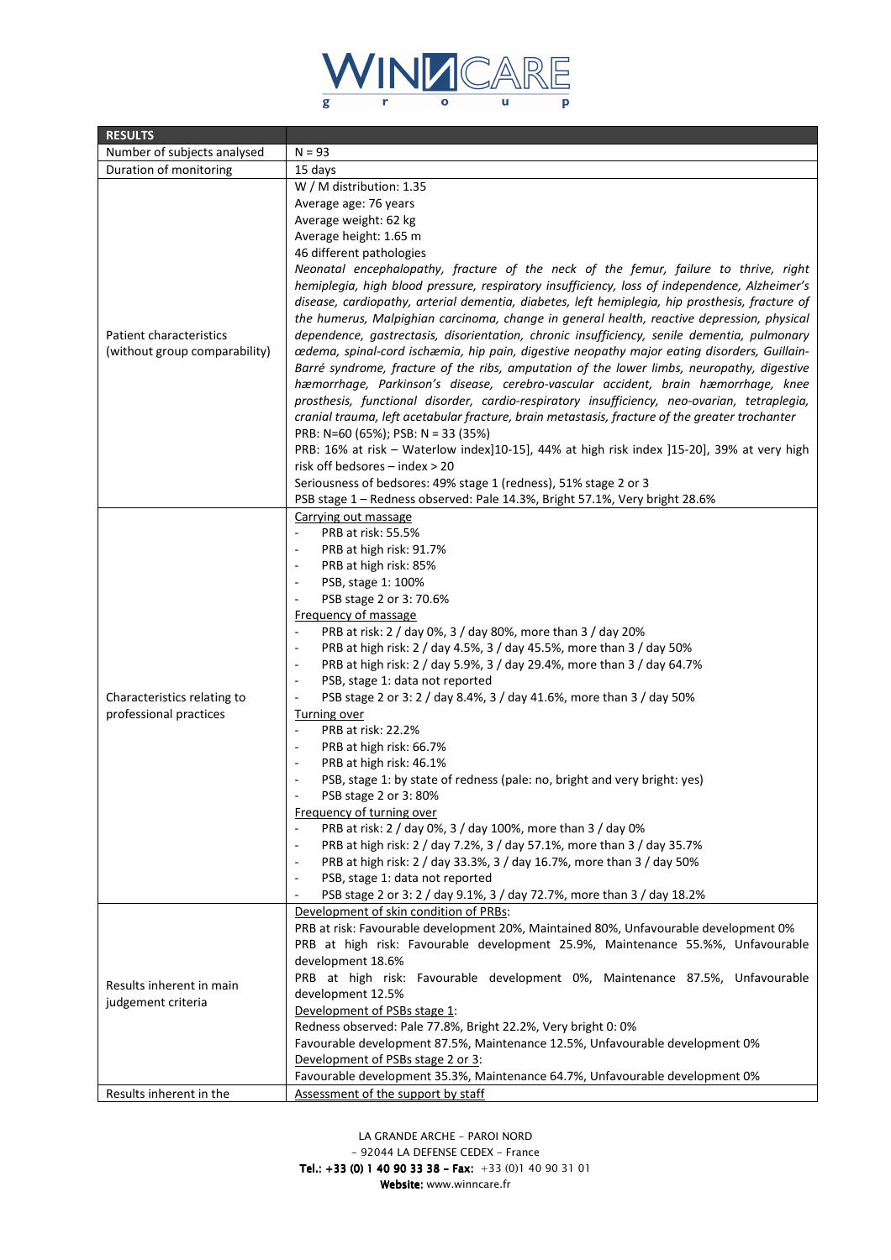

| <b>RESULTS</b>                                 |                                                                                                   |  |  |  |  |
|------------------------------------------------|---------------------------------------------------------------------------------------------------|--|--|--|--|
| Number of subjects analysed                    | $N = 93$                                                                                          |  |  |  |  |
| Duration of monitoring                         | 15 days                                                                                           |  |  |  |  |
|                                                | W / M distribution: 1.35                                                                          |  |  |  |  |
|                                                | Average age: 76 years                                                                             |  |  |  |  |
|                                                | Average weight: 62 kg                                                                             |  |  |  |  |
|                                                | Average height: 1.65 m                                                                            |  |  |  |  |
|                                                | 46 different pathologies                                                                          |  |  |  |  |
|                                                | Neonatal encephalopathy, fracture of the neck of the femur, failure to thrive, right              |  |  |  |  |
|                                                | hemiplegia, high blood pressure, respiratory insufficiency, loss of independence, Alzheimer's     |  |  |  |  |
|                                                | disease, cardiopathy, arterial dementia, diabetes, left hemiplegia, hip prosthesis, fracture of   |  |  |  |  |
|                                                | the humerus, Malpighian carcinoma, change in general health, reactive depression, physical        |  |  |  |  |
| Patient characteristics                        | dependence, gastrectasis, disorientation, chronic insufficiency, senile dementia, pulmonary       |  |  |  |  |
| (without group comparability)                  | cedema, spinal-cord ischæmia, hip pain, digestive neopathy major eating disorders, Guillain-      |  |  |  |  |
|                                                | Barré syndrome, fracture of the ribs, amputation of the lower limbs, neuropathy, digestive        |  |  |  |  |
|                                                | hæmorrhage, Parkinson's disease, cerebro-vascular accident, brain hæmorrhage, knee                |  |  |  |  |
|                                                | prosthesis, functional disorder, cardio-respiratory insufficiency, neo-ovarian, tetraplegia,      |  |  |  |  |
|                                                | cranial trauma, left acetabular fracture, brain metastasis, fracture of the greater trochanter    |  |  |  |  |
|                                                | PRB: N=60 (65%); PSB: N = 33 (35%)                                                                |  |  |  |  |
|                                                | PRB: 16% at risk - Waterlow index]10-15], 44% at high risk index ]15-20], 39% at very high        |  |  |  |  |
|                                                | risk off bedsores - index > 20                                                                    |  |  |  |  |
|                                                | Seriousness of bedsores: 49% stage 1 (redness), 51% stage 2 or 3                                  |  |  |  |  |
|                                                | PSB stage 1 – Redness observed: Pale 14.3%, Bright 57.1%, Very bright 28.6%                       |  |  |  |  |
|                                                |                                                                                                   |  |  |  |  |
|                                                | Carrying out massage<br>PRB at risk: 55.5%                                                        |  |  |  |  |
|                                                |                                                                                                   |  |  |  |  |
|                                                | PRB at high risk: 91.7%<br>$\overline{\phantom{m}}$                                               |  |  |  |  |
|                                                | PRB at high risk: 85%                                                                             |  |  |  |  |
|                                                | PSB, stage 1: 100%<br>$\overline{\phantom{a}}$                                                    |  |  |  |  |
|                                                | PSB stage 2 or 3: 70.6%<br>$\qquad \qquad \blacksquare$                                           |  |  |  |  |
|                                                | Frequency of massage                                                                              |  |  |  |  |
|                                                | PRB at risk: 2 / day 0%, 3 / day 80%, more than 3 / day 20%<br>÷,                                 |  |  |  |  |
|                                                | PRB at high risk: 2 / day 4.5%, 3 / day 45.5%, more than 3 / day 50%<br>÷,                        |  |  |  |  |
|                                                | PRB at high risk: 2 / day 5.9%, 3 / day 29.4%, more than 3 / day 64.7%<br>$\overline{a}$          |  |  |  |  |
|                                                | PSB, stage 1: data not reported<br>$\overline{\phantom{a}}$                                       |  |  |  |  |
| Characteristics relating to                    | PSB stage 2 or 3: 2 / day 8.4%, 3 / day 41.6%, more than 3 / day 50%<br>$\overline{a}$            |  |  |  |  |
| professional practices                         | Turning over                                                                                      |  |  |  |  |
|                                                | PRB at risk: 22.2%<br>$\overline{a}$                                                              |  |  |  |  |
|                                                | PRB at high risk: 66.7%<br>$\overline{a}$                                                         |  |  |  |  |
|                                                | PRB at high risk: 46.1%<br>$\overline{a}$                                                         |  |  |  |  |
|                                                | PSB, stage 1: by state of redness (pale: no, bright and very bright: yes)<br>$\overline{a}$       |  |  |  |  |
|                                                | PSB stage 2 or 3:80%                                                                              |  |  |  |  |
|                                                | Frequency of turning over                                                                         |  |  |  |  |
|                                                | PRB at risk: 2 / day 0%, 3 / day 100%, more than 3 / day 0%                                       |  |  |  |  |
|                                                | PRB at high risk: 2 / day 7.2%, 3 / day 57.1%, more than 3 / day 35.7%<br>÷,                      |  |  |  |  |
|                                                | PRB at high risk: 2 / day 33.3%, 3 / day 16.7%, more than 3 / day 50%<br>$\overline{\phantom{a}}$ |  |  |  |  |
|                                                | PSB, stage 1: data not reported<br>$\qquad \qquad \blacksquare$                                   |  |  |  |  |
|                                                | PSB stage 2 or 3: 2 / day 9.1%, 3 / day 72.7%, more than 3 / day 18.2%<br>÷,                      |  |  |  |  |
|                                                | Development of skin condition of PRBs:                                                            |  |  |  |  |
|                                                | PRB at risk: Favourable development 20%, Maintained 80%, Unfavourable development 0%              |  |  |  |  |
| Results inherent in main<br>judgement criteria | PRB at high risk: Favourable development 25.9%, Maintenance 55.%%, Unfavourable                   |  |  |  |  |
|                                                | development 18.6%                                                                                 |  |  |  |  |
|                                                | PRB at high risk: Favourable development 0%, Maintenance 87.5%, Unfavourable                      |  |  |  |  |
|                                                | development 12.5%                                                                                 |  |  |  |  |
|                                                | Development of PSBs stage 1:                                                                      |  |  |  |  |
|                                                | Redness observed: Pale 77.8%, Bright 22.2%, Very bright 0: 0%                                     |  |  |  |  |
|                                                | Favourable development 87.5%, Maintenance 12.5%, Unfavourable development 0%                      |  |  |  |  |
|                                                | Development of PSBs stage 2 or 3:                                                                 |  |  |  |  |
|                                                | Favourable development 35.3%, Maintenance 64.7%, Unfavourable development 0%                      |  |  |  |  |
| Results inherent in the                        | Assessment of the support by staff                                                                |  |  |  |  |